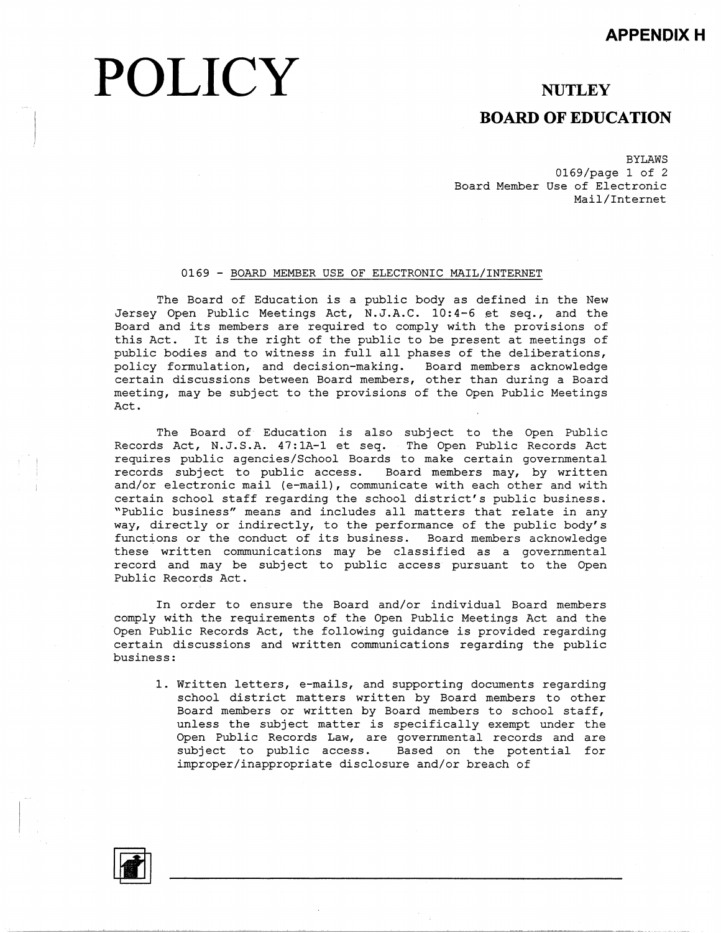# **POLICY**

### **NUTLEY**

### **BOARD OF EDUCATION**

BYLAWS 0169/page 1 of 2 Board Member Use of Electronic Mail/Internet

#### 0169 - BOARD MEMBER USE OF ELECTRONIC MAIL/INTERNET

The Board of Education is a public body as defined in the New Jersey Open Public Meetings Act, N.J.A.C. 10:4-6 et seq., and the Board and its members are required to comply with the provisions of this Act. It is the right of the public to be present at meetings of public bodies and to witness in full all phases of the deliberations, policy formulation, and decision-making. Board members acknowled@ certain discussions between Board members, other than during a Board meeting, may be subject to the provisions of the Open Public Meetings Act.

The Board of Education is also subject to the Open Public Records Act, N.J.S.A. 47:lA-l et seq. The Open Public Records Act requires public agencies/School Boards to make certain governmental records subject to public access. Board members may, by written and/or electronic mail (e-mail), communicate with each other and with certain school staff regarding the school district's public business. "Public business" means and includes all matters that relate in any way, directly or indirectly, to the performance of the public body's functions or the conduct of its business. Board members acknowledge these written communications may be classified as a governmental record and may be subject to public access pursuant to the Open Public Records Act.

In order to ensure the Board and/or individual Board members comply with the requirements of the Open Public Meetings Act and the Open Public Records Act, the following guidance is provided regarding certain discussions and written communications regarding the public business:

1. Written letters, e-mails, and supporting documents regarding school district matters written by Board members to other Board members or written by Board members to school staff, unless the subject matter is specifically exempt under the Open Public Records Law, are governmental records and are subject to public access. Based on the potential for improper/inappropriate disclosure and/or breach of